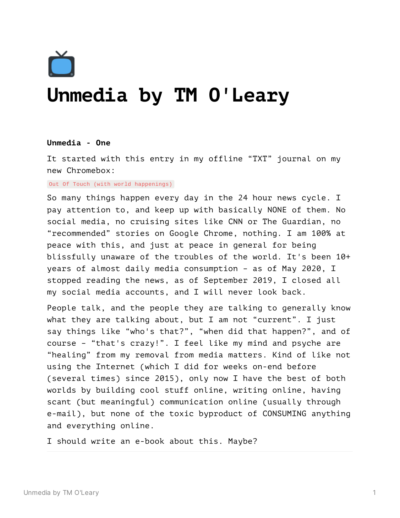

# **Unmedia by TM O'Leary**

# **Unmedia - One**

It started with this entry in my offline "TXT" journal on my new Chromebox:

Out Of Touch (with world happenings)

So many things happen every day in the 24 hour news cycle. I pay attention to, and keep up with basically NONE of them. No social media, no cruising sites like CNN or The Guardian, no "recommended" stories on Google Chrome, nothing. I am 100% at peace with this, and just at peace in general for being blissfully unaware of the troubles of the world. It's been 10+ years of almost daily media consumption – as of May 2020, I stopped reading the news, as of September 2019, I closed all my social media accounts, and I will never look back.

People talk, and the people they are talking to generally know what they are talking about, but I am not "current". I just say things like "who's that?", "when did that happen?", and of course – "that's crazy!". I feel like my mind and psyche are "healing" from my removal from media matters. Kind of like not using the Internet (which I did for weeks on-end before (several times) since 2015), only now I have the best of both worlds by building cool stuff online, writing online, having scant (but meaningful) communication online (usually through e-mail), but none of the toxic byproduct of CONSUMING anything and everything online.

I should write an e-book about this. Maybe?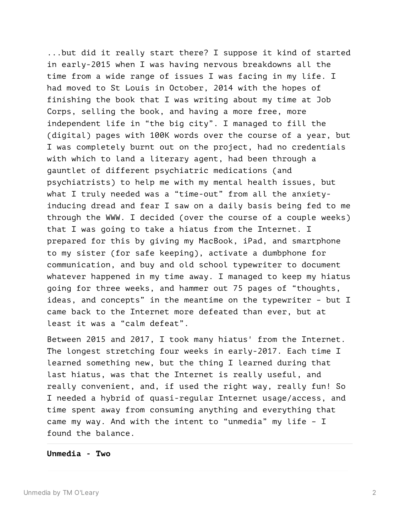...but did it really start there? I suppose it kind of started in early-2015 when I was having nervous breakdowns all the time from a wide range of issues I was facing in my life. I had moved to St Louis in October, 2014 with the hopes of finishing the book that I was writing about my time at Job Corps, selling the book, and having a more free, more independent life in "the big city". I managed to fill the (digital) pages with 100K words over the course of a year, but I was completely burnt out on the project, had no credentials with which to land a literary agent, had been through a gauntlet of different psychiatric medications (and psychiatrists) to help me with my mental health issues, but what I truly needed was a "time-out" from all the anxietyinducing dread and fear I saw on a daily basis being fed to me through the WWW. I decided (over the course of a couple weeks) that I was going to take a hiatus from the Internet. I prepared for this by giving my MacBook, iPad, and smartphone to my sister (for safe keeping), activate a dumbphone for communication, and buy and old school typewriter to document whatever happened in my time away. I managed to keep my hiatus going for three weeks, and hammer out 75 pages of "thoughts, ideas, and concepts" in the meantime on the typewriter – but I came back to the Internet more defeated than ever, but at least it was a "calm defeat".

Between 2015 and 2017, I took many hiatus' from the Internet. The longest stretching four weeks in early-2017. Each time I learned something new, but the thing I learned during that last hiatus, was that the Internet is really useful, and really convenient, and, if used the right way, really fun! So I needed a hybrid of quasi-regular Internet usage/access, and time spent away from consuming anything and everything that came my way. And with the intent to "unmedia" my life – I found the balance.

**Unmedia - Two**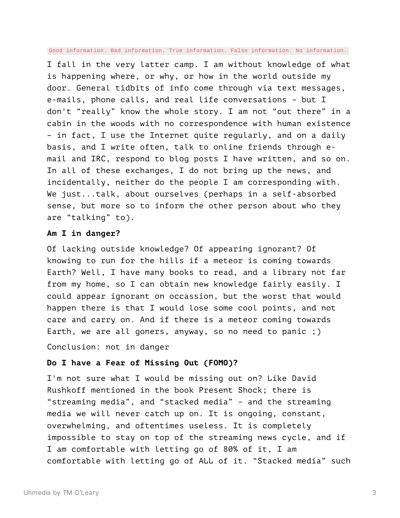Good information. Bad information. True information. False information. No information.

I fall in the very latter camp. I am without knowledge of what is happening where, or why, or how in the world outside my door. General tidbits of info come through via text messages, e-mails, phone calls, and real life conversations – but I don't "really" know the whole story. I am not "out there" in a cabin in the woods with no correspondence with human existence – in fact, I use the Internet quite regularly, and on a daily basis, and I write often, talk to online friends through email and IRC, respond to blog posts I have written, and so on. In all of these exchanges, I do not bring up the news, and incidentally, neither do the people I am corresponding with. We just...talk, about ourselves (perhaps in a self-absorbed sense, but more so to inform the other person about who they are "talking" to).

# **Am I in danger?**

Of lacking outside knowledge? Of appearing ignorant? Of knowing to run for the hills if a meteor is coming towards Earth? Well, I have many books to read, and a library not far from my home, so I can obtain new knowledge fairly easily. I could appear ignorant on occassion, but the worst that would happen there is that I would lose some cool points, and not care and carry on. And if there is a meteor coming towards Earth, we are all goners, anyway, so no need to panic ;)

Conclusion: not in danger

# **Do I have a Fear of Missing Out (FOMO)?**

I'm not sure what I would be missing out on? Like David Rushkoff mentioned in the book Present Shock; there is "streaming media", and "stacked media" – and the streaming media we will never catch up on. It is ongoing, constant, overwhelming, and oftentimes useless. It is completely impossible to stay on top of the streaming news cycle, and if I am comfortable with letting go of 80% of it, I am comfortable with letting go of ALL of it. "Stacked media" such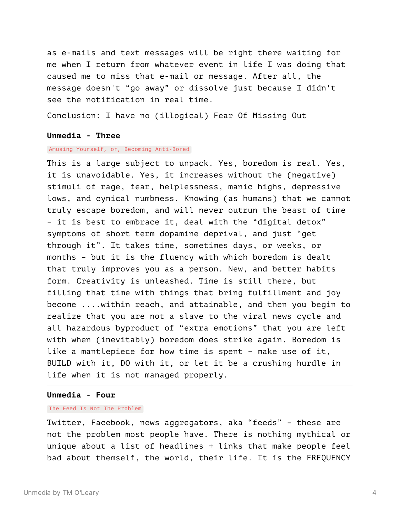as e-mails and text messages will be right there waiting for me when I return from whatever event in life I was doing that caused me to miss that e-mail or message. After all, the message doesn't "go away" or dissolve just because I didn't see the notification in real time.

Conclusion: I have no (illogical) Fear Of Missing Out

## **Unmedia - Three**

### Amusing Yourself, or, Becoming Anti-Bored

This is a large subject to unpack. Yes, boredom is real. Yes, it is unavoidable. Yes, it increases without the (negative) stimuli of rage, fear, helplessness, manic highs, depressive lows, and cynical numbness. Knowing (as humans) that we cannot truly escape boredom, and will never outrun the beast of time – it is best to embrace it, deal with the "digital detox" symptoms of short term dopamine deprival, and just "get through it". It takes time, sometimes days, or weeks, or months – but it is the fluency with which boredom is dealt that truly improves you as a person. New, and better habits form. Creativity is unleashed. Time is still there, but filling that time with things that bring fulfillment and joy become ....within reach, and attainable, and then you begin to realize that you are not a slave to the viral news cycle and all hazardous byproduct of "extra emotions" that you are left with when (inevitably) boredom does strike again. Boredom is like a mantlepiece for how time is spent – make use of it, BUILD with it, DO with it, or let it be a crushing hurdle in life when it is not managed properly.

#### **Unmedia - Four**

#### The Feed Is Not The Problem

Twitter, Facebook, news aggregators, aka "feeds" – these are not the problem most people have. There is nothing mythical or unique about a list of headlines + links that make people feel bad about themself, the world, their life. It is the FREQUENCY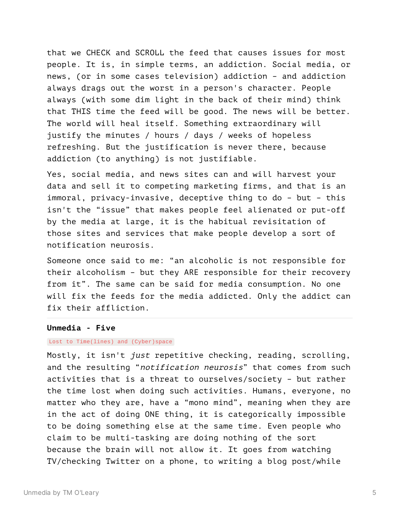that we CHECK and SCROLL the feed that causes issues for most people. It is, in simple terms, an addiction. Social media, or news, (or in some cases television) addiction – and addiction always drags out the worst in a person's character. People always (with some dim light in the back of their mind) think that THIS time the feed will be good. The news will be better. The world will heal itself. Something extraordinary will justify the minutes / hours / days / weeks of hopeless refreshing. But the justification is never there, because addiction (to anything) is not justifiable.

Yes, social media, and news sites can and will harvest your data and sell it to competing marketing firms, and that is an immoral, privacy-invasive, deceptive thing to do – but – this isn't the "issue" that makes people feel alienated or put-off by the media at large, it is the habitual revisitation of those sites and services that make people develop a sort of notification neurosis.

Someone once said to me: "an alcoholic is not responsible for their alcoholism – but they ARE responsible for their recovery from it". The same can be said for media consumption. No one will fix the feeds for the media addicted. Only the addict can fix their affliction.

# **Unmedia - Five**

## Lost to Time(lines) and (Cyber)space

Mostly, it isn't just repetitive checking, reading, scrolling, and the resulting "notification neurosis" that comes from such activities that is a threat to ourselves/society – but rather the time lost when doing such activities. Humans, everyone, no matter who they are, have a "mono mind", meaning when they are in the act of doing ONE thing, it is categorically impossible to be doing something else at the same time. Even people who claim to be multi-tasking are doing nothing of the sort because the brain will not allow it. It goes from watching TV/checking Twitter on a phone, to writing a blog post/while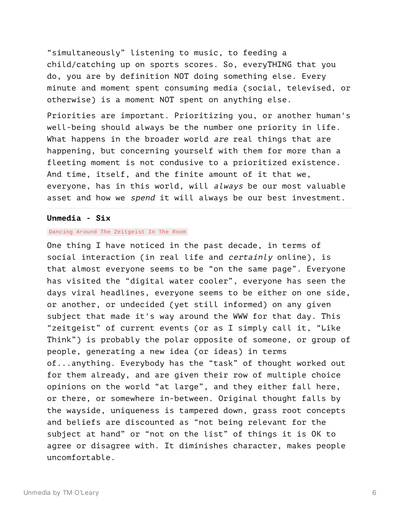"simultaneously" listening to music, to feeding a child/catching up on sports scores. So, everyTHING that you do, you are by definition NOT doing something else. Every minute and moment spent consuming media (social, televised, or otherwise) is a moment NOT spent on anything else.

Priorities are important. Prioritizing you, or another human's well-being should always be the number one priority in life. What happens in the broader world are real things that are happening, but concerning yourself with them for more than a fleeting moment is not condusive to a prioritized existence. And time, itself, and the finite amount of it that we, everyone, has in this world, will always be our most valuable asset and how we *spend* it will always be our best investment.

# **Unmedia - Six**

## Dancing Around The Zeitgeist In The Room

One thing I have noticed in the past decade, in terms of social interaction (in real life and *certainly* online), is that almost everyone seems to be "on the same page". Everyone has visited the "digital water cooler", everyone has seen the days viral headlines, everyone seems to be either on one side, or another, or undecided (yet still informed) on any given subject that made it's way around the WWW for that day. This "zeitgeist" of current events (or as I simply call it, "Like Think") is probably the polar opposite of someone, or group of people, generating a new idea (or ideas) in terms of...anything. Everybody has the "task" of thought worked out for them already, and are given their row of multiple choice opinions on the world "at large", and they either fall here, or there, or somewhere in-between. Original thought falls by the wayside, uniqueness is tampered down, grass root concepts and beliefs are discounted as "not being relevant for the subject at hand" or "not on the list" of things it is OK to agree or disagree with. It diminishes character, makes people uncomfortable.